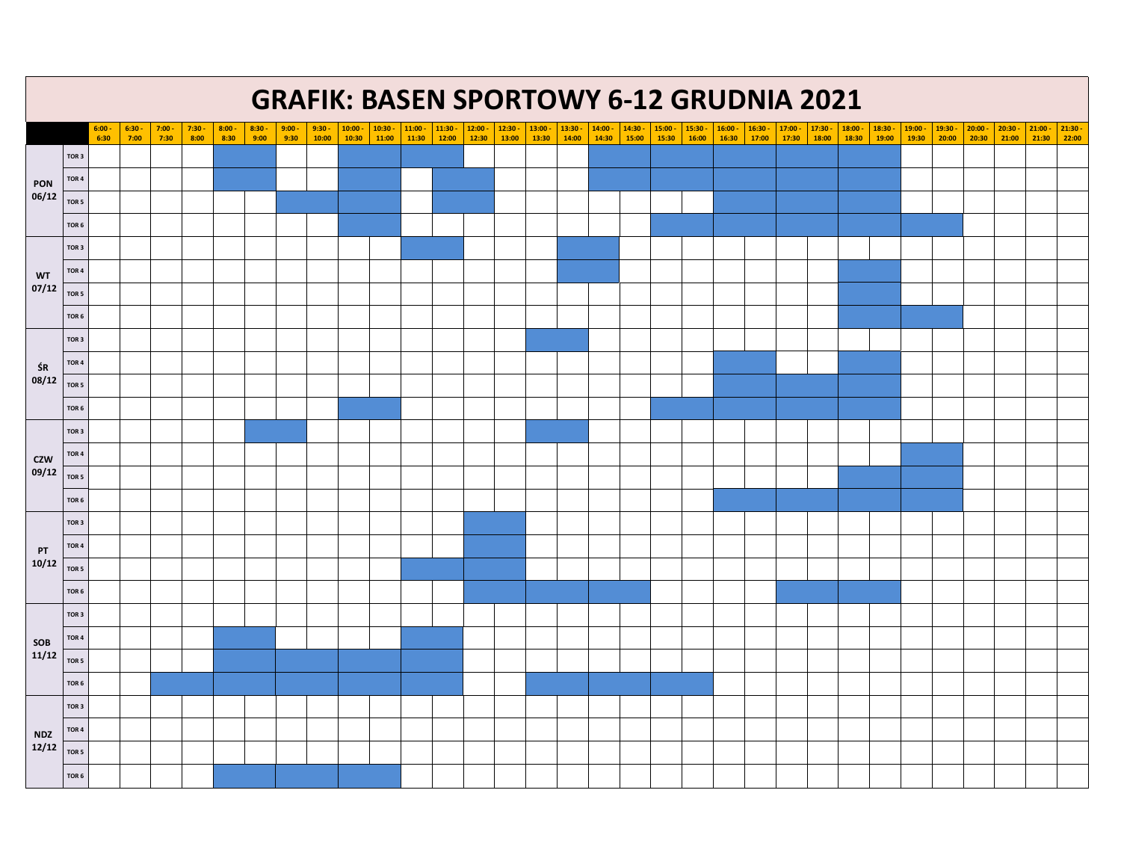